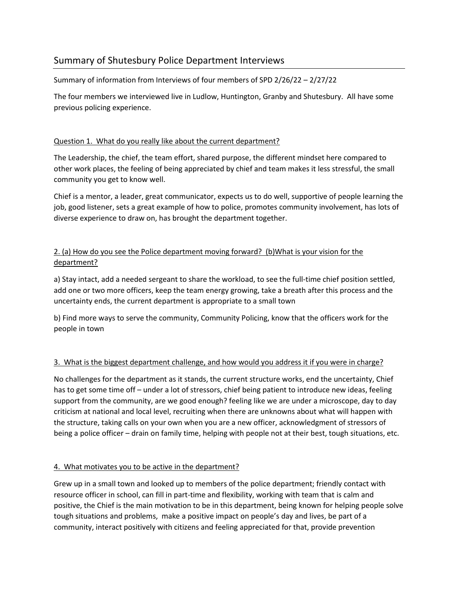# Summary of Shutesbury Police Department Interviews

Summary of information from Interviews of four members of SPD 2/26/22 – 2/27/22

The four members we interviewed live in Ludlow, Huntington, Granby and Shutesbury. All have some previous policing experience.

### Question 1. What do you really like about the current department?

The Leadership, the chief, the team effort, shared purpose, the different mindset here compared to other work places, the feeling of being appreciated by chief and team makes it less stressful, the small community you get to know well.

Chief is a mentor, a leader, great communicator, expects us to do well, supportive of people learning the job, good listener, sets a great example of how to police, promotes community involvement, has lots of diverse experience to draw on, has brought the department together.

### 2. (a) How do you see the Police department moving forward? (b)What is your vision for the department?

a) Stay intact, add a needed sergeant to share the workload, to see the full-time chief position settled, add one or two more officers, keep the team energy growing, take a breath after this process and the uncertainty ends, the current department is appropriate to a small town

b) Find more ways to serve the community, Community Policing, know that the officers work for the people in town

## 3. What is the biggest department challenge, and how would you address it if you were in charge?

No challenges for the department as it stands, the current structure works, end the uncertainty, Chief has to get some time off – under a lot of stressors, chief being patient to introduce new ideas, feeling support from the community, are we good enough? feeling like we are under a microscope, day to day criticism at national and local level, recruiting when there are unknowns about what will happen with the structure, taking calls on your own when you are a new officer, acknowledgment of stressors of being a police officer – drain on family time, helping with people not at their best, tough situations, etc.

### 4. What motivates you to be active in the department?

Grew up in a small town and looked up to members of the police department; friendly contact with resource officer in school, can fill in part-time and flexibility, working with team that is calm and positive, the Chief is the main motivation to be in this department, being known for helping people solve tough situations and problems, make a positive impact on people's day and lives, be part of a community, interact positively with citizens and feeling appreciated for that, provide prevention